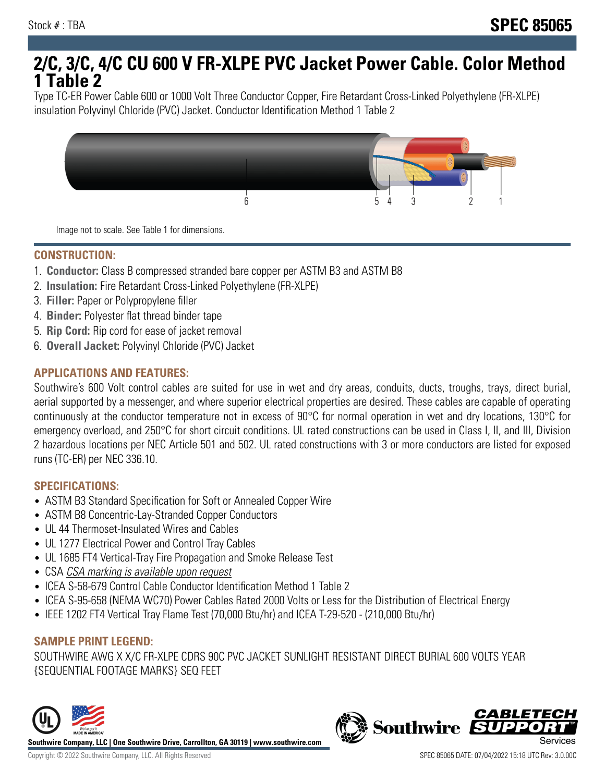# **2/C, 3/C, 4/C CU 600 V FR-XLPE PVC Jacket Power Cable. Color Method 1 Table 2**

Type TC-ER Power Cable 600 or 1000 Volt Three Conductor Copper, Fire Retardant Cross-Linked Polyethylene (FR-XLPE) insulation Polyvinyl Chloride (PVC) Jacket. Conductor Identification Method 1 Table 2



Image not to scale. See Table 1 for dimensions.

#### **CONSTRUCTION:**

- 1. **Conductor:** Class B compressed stranded bare copper per ASTM B3 and ASTM B8
- 2. **Insulation:** Fire Retardant Cross-Linked Polyethylene (FR-XLPE)
- 3. **Filler:** Paper or Polypropylene filler
- 4. **Binder:** Polyester flat thread binder tape
- 5. **Rip Cord:** Rip cord for ease of jacket removal
- 6. **Overall Jacket:** Polyvinyl Chloride (PVC) Jacket

### **APPLICATIONS AND FEATURES:**

Southwire's 600 Volt control cables are suited for use in wet and dry areas, conduits, ducts, troughs, trays, direct burial, aerial supported by a messenger, and where superior electrical properties are desired. These cables are capable of operating continuously at the conductor temperature not in excess of 90°C for normal operation in wet and dry locations, 130°C for emergency overload, and 250°C for short circuit conditions. UL rated constructions can be used in Class I, II, and III, Division 2 hazardous locations per NEC Article 501 and 502. UL rated constructions with 3 or more conductors are listed for exposed runs (TC-ER) per NEC 336.10.

#### **SPECIFICATIONS:**

- ASTM B3 Standard Specification for Soft or Annealed Copper Wire
- ASTM B8 Concentric-Lay-Stranded Copper Conductors
- UL 44 Thermoset-Insulated Wires and Cables
- UL 1277 Electrical Power and Control Tray Cables
- UL 1685 FT4 Vertical-Tray Fire Propagation and Smoke Release Test
- CSA CSA marking is available upon request
- ICEA S-58-679 Control Cable Conductor Identification Method 1 Table 2
- ICEA S-95-658 (NEMA WC70) Power Cables Rated 2000 Volts or Less for the Distribution of Electrical Energy
- IEEE 1202 FT4 Vertical Tray Flame Test (70,000 Btu/hr) and ICEA T-29-520 (210,000 Btu/hr)

## **SAMPLE PRINT LEGEND:**

SOUTHWIRE AWG X X/C FR-XLPE CDRS 90C PVC JACKET SUNLIGHT RESISTANT DIRECT BURIAL 600 VOLTS YEAR {SEQUENTIAL FOOTAGE MARKS} SEQ FEET